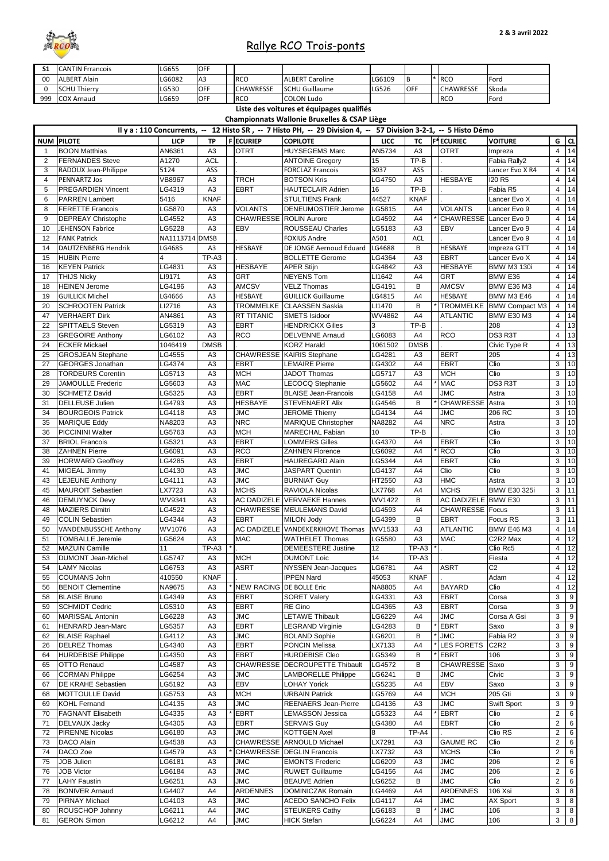| S <sub>1</sub> | <b>CANTIN Frrancois</b>      | LG655          | <b>OFF</b>     |                          |                                                                                                                  |               |                |                        |                               |                |                  |
|----------------|------------------------------|----------------|----------------|--------------------------|------------------------------------------------------------------------------------------------------------------|---------------|----------------|------------------------|-------------------------------|----------------|------------------|
|                |                              |                |                |                          |                                                                                                                  |               |                |                        |                               |                |                  |
| 00             | <b>ALBERT Alain</b>          | LG6082         | A3             | <b>RCO</b>               | <b>ALBERT Caroline</b>                                                                                           | LG6109        | B              | $*$ RCO                | Ford                          |                |                  |
| $\Omega$       | <b>SCHU Thierry</b>          | LG530          | <b>OFF</b>     | <b>CHAWRESSE</b>         | <b>SCHU Guillaume</b>                                                                                            | LG526         | OFF            | <b>CHAWRESSE</b>       | Skoda                         |                |                  |
| 999            | <b>COX Arnaud</b>            | LG659          | <b>OFF</b>     | <b>RCO</b>               | <b>COLON Ludo</b>                                                                                                |               |                | <b>RCO</b>             | Ford                          |                |                  |
|                |                              |                |                |                          |                                                                                                                  |               |                |                        |                               |                |                  |
|                |                              |                |                |                          | Liste des voitures et équipages qualifiés                                                                        |               |                |                        |                               |                |                  |
|                |                              |                |                |                          | <b>Championnats Wallonie Bruxelles &amp; CSAP Liège</b>                                                          |               |                |                        |                               |                |                  |
|                |                              |                |                |                          |                                                                                                                  |               |                |                        |                               |                |                  |
|                |                              |                |                |                          | Il y a : 110 Concurrents, -- 12 Histo SR, -- 7 Histo PH, -- 29 Division 4, -- 57 Division 3-2-1, -- 5 Histo Démo |               |                |                        |                               |                |                  |
|                | <b>NUM PILOTE</b>            | <b>LICP</b>    | <b>TP</b>      | <b>FECURIEP</b>          | <b>COPILOTE</b>                                                                                                  | <b>LICC</b>   | <b>TC</b>      | <b>F*ECURIEC</b>       | <b>VOITURE</b>                |                | $G$ CL           |
|                | <b>BOON Matthias</b>         | AN6361         | A3             | <b>OTRT</b>              | HUYSEGEMS Marc                                                                                                   | AN5734        | A <sub>3</sub> | <b>OTRT</b>            | Impreza                       | 4              | 14               |
|                |                              |                |                |                          |                                                                                                                  |               |                |                        |                               |                |                  |
| 2              | <b>FERNANDES Steve</b>       | A1270          | <b>ACL</b>     |                          | <b>ANTOINE Gregory</b>                                                                                           | 15            | TP-B           |                        | Fabia Rally2                  | 4              | 14               |
| 3              | RADOUX Jean-Philippe         | 5124           | ASS            |                          | <b>FORCLAZ Francois</b>                                                                                          | 3037          | ASS            |                        | Lancer Evo X R4               | $\overline{4}$ | 14               |
|                |                              |                |                | <b>TRCH</b>              |                                                                                                                  | LG4750        | A <sub>3</sub> | <b>HESBAYE</b>         | <b>I20 R5</b>                 |                | 14               |
| 4              | <b>PENNARTZ Jos</b>          | <b>VB8967</b>  | A <sub>3</sub> |                          | <b>BOTSON Kris</b>                                                                                               |               |                |                        |                               | 4              |                  |
| 5              | <b>PREGARDIEN Vincent</b>    | LG4319         | A <sub>3</sub> | <b>EBRT</b>              | <b>HAUTECLAIR Adrien</b>                                                                                         | 16            | TP-B           |                        | Fabia R5                      | 4              | 14               |
| 6              | <b>PARREN Lambert</b>        | 5416           | <b>KNAF</b>    |                          | <b>STULTIENS Frank</b>                                                                                           | 44527         | <b>KNAF</b>    |                        | Lancer Evo X                  | $\overline{4}$ | 14               |
|                |                              |                |                |                          |                                                                                                                  |               |                |                        |                               |                |                  |
| 8              | <b>FERETTE Francois</b>      | LG5870         | A <sub>3</sub> | <b>VOLANTS</b>           | <b>DENEUMOSTIER Jerome</b>                                                                                       | LG5815        | A4             | <b>VOLANTS</b>         | Lancer Evo 9                  | 4              | 14               |
| 9              | <b>DEPREAY Christophe</b>    | LG4552         | A3             | CHAWRESSE ROLIN Aurore   |                                                                                                                  | LG4592        | A4             | * CHAWRESSE            | Lancer Evo 9                  | $\overline{4}$ | 14               |
| 10             | JEHENSON Fabrice             | LG5228         | A3             | <b>EBV</b>               | <b>ROUSSEAU Charles</b>                                                                                          | LG5183        | A <sub>3</sub> | <b>EBV</b>             | Lancer Evo 9                  | 4              | 14               |
|                |                              | NA1113714 DMSB |                |                          |                                                                                                                  |               |                |                        |                               |                | 14               |
| 12             | <b>FANK Patrick</b>          |                |                |                          | <b>FOXIUS Andre</b>                                                                                              | A501          | <b>ACL</b>     |                        | Lancer Evo 9                  | 4              |                  |
| 14             | DAUTZENBERG Hendrik          | LG4685         | A3             | <b>HESBAYE</b>           | DE JONGE Aernoud Eduard                                                                                          | LG4688        | B              | <b>HESBAYE</b>         | Impreza GTT                   | 4              | 14               |
| 15             | <b>HUBIN Pierre</b>          |                | TP-A3          |                          | <b>BOLLETTE Gerome</b>                                                                                           | LG4364        | A <sub>3</sub> | <b>EBRT</b>            | Lancer Evo X                  | 4              | 14               |
|                |                              | LG4831         |                | <b>HESBAYE</b>           |                                                                                                                  | LG4842        |                | <b>HESBAYE</b>         | <b>BMW M3 130i</b>            | $\overline{4}$ | 14               |
| 16             | <b>KEYEN Patrick</b>         |                | A3             |                          | <b>APER Stijn</b>                                                                                                |               | A <sub>3</sub> |                        |                               |                |                  |
| 17             | <b>THIJS Nicky</b>           | LI9171         | A3             | <b>GRT</b>               | <b>NEYENS Tom</b>                                                                                                | LI1642        | A4             | <b>GRT</b>             | BMW E36                       | 4              | 14               |
| 18             | <b>HEINEN Jerome</b>         | LG4196         | A3             | <b>AMCSV</b>             | <b>VELZ Thomas</b>                                                                                               | LG4191        | B              | <b>AMCSV</b>           | <b>BMW E36 M3</b>             | 4              | 14               |
| 19             | <b>GUILLICK Michel</b>       | LG4666         | A3             | <b>HESBAYE</b>           | <b>GUILLICK Guillaume</b>                                                                                        | LG4815        | A4             | <b>HESBAYE</b>         | <b>BMW M3 E46</b>             | $\overline{4}$ | 14               |
|                |                              |                |                |                          |                                                                                                                  |               |                |                        |                               |                |                  |
| 20             | <b>SCHROOTEN Patrick</b>     | LI2716         | A3             |                          | TROMMELKE CLAASSEN Saskia                                                                                        | LI1470        | B              | <b>TROMMELKE</b>       | <b>BMW Compact M3</b>         | $\overline{4}$ | 14               |
| 47             | <b>VERHAERT Dirk</b>         | AN4861         | A3             | <b>RT TITANIC</b>        | <b>SMETS Isidoor</b>                                                                                             | WV4862        | A4             | <b>ATLANTIC</b>        | <b>BMW E30 M3</b>             | 4              | 14               |
| 22             | <b>SPITTAELS Steven</b>      | LG5319         | A3             | <b>EBRT</b>              | <b>HENDRICKX Gilles</b>                                                                                          | 3             | TP-B           |                        | 208                           | $\overline{4}$ | 13               |
|                |                              |                |                |                          |                                                                                                                  |               |                |                        |                               |                |                  |
| 23             | <b>GREGOIRE Anthony</b>      | LG6102         | A3             | <b>RCO</b>               | <b>DELVENNE Arnaud</b>                                                                                           | LG6083        | A4             | <b>RCO</b>             | DS3 R3T                       | 4              | 13               |
| 24             | <b>ECKER Mickael</b>         | 1046419        | <b>DMSB</b>    |                          | <b>KORZ Harald</b>                                                                                               | 1061502       | <b>DMSB</b>    |                        | Civic Type R                  | 4              | 13               |
| 25             | <b>GROSJEAN Stephane</b>     | LG4555         | A3             |                          | CHAWRESSE KAIRIS Stephane                                                                                        | LG4281        | A <sub>3</sub> | <b>BERT</b>            | 205                           | $\overline{4}$ | 13               |
|                |                              |                |                |                          |                                                                                                                  |               |                |                        |                               |                |                  |
| 27             | <b>GEORGES Jonathan</b>      | LG4374         | A <sub>3</sub> | <b>EBRT</b>              | <b>LEMAIRE Pierre</b>                                                                                            | LG4302        | A4             | <b>EBRT</b>            | Clio                          | 3              | 10               |
| 28             | <b>TORDEURS Corentin</b>     | LG5713         | A <sub>3</sub> | MCH                      | <b>JADOT Thomas</b>                                                                                              | LG5717        | A3             | <b>MCH</b>             | Clio                          | 3              | 10               |
| 29             | <b>JAMOULLE Frederic</b>     | LG5603         | A3             | <b>MAC</b>               | <b>LECOCQ Stephanie</b>                                                                                          | LG5602        | A4             | * MAC                  | DS3 R3T                       | 3              | 10               |
|                |                              |                |                |                          |                                                                                                                  |               |                |                        |                               |                |                  |
| 30             | <b>SCHMETZ David</b>         | LG5325         | A3             | <b>EBRT</b>              | <b>BLAISE Jean-Francois</b>                                                                                      | LG4158        | A4             | <b>JMC</b>             | Astra                         | 3              | 10               |
| 31             | <b>DELLEUSE Julien</b>       | LG4793         | A <sub>3</sub> | <b>HESBAYE</b>           | <b>STEVENAERT Alix</b>                                                                                           | LG4546        | B              | <b>CHAWRESSE</b>       | Astra                         | 3              | 10               |
| 34             | <b>BOURGEOIS Patrick</b>     | LG4118         | A3             | <b>JMC</b>               | <b>JEROME Thierry</b>                                                                                            | LG4134        | A4             | <b>JMC</b>             | 206 RC                        | 3              | 10               |
|                |                              |                |                | <b>NRC</b>               |                                                                                                                  |               |                | <b>NRC</b>             |                               |                | 10               |
| 35             | <b>MARIQUE Eddy</b>          | NA8203         | A3             |                          | <b>MARIQUE Christopher</b>                                                                                       | NA8282        | A4             |                        | Astra                         | 3              |                  |
| 36             | <b>PICCININI Walter</b>      | LG5763         | A3             | <b>MCH</b>               | <b>MARECHAL Fabian</b>                                                                                           | 10            | TP-B           |                        | Clio                          | 3              | 10               |
| 37             | <b>BRIOL Francois</b>        | LG5321         | A3             | <b>EBRT</b>              | <b>LOMMERS Gilles</b>                                                                                            | LG4370        | A4             | <b>EBRT</b>            | Clio                          | 3              | 10               |
| 38             | <b>ZAHNEN Pierre</b>         | LG6091         | A3             | <b>RCO</b>               | <b>ZAHNEN Florence</b>                                                                                           | LG6092        | A4             | * RCO                  | Clio                          | 3              | 10               |
|                |                              |                |                |                          |                                                                                                                  |               |                |                        |                               |                |                  |
| 39             | <b>HORWARD Geoffrey</b>      | LG4285         | A3             | <b>EBRT</b>              | <b>HAUREGARD Alain</b>                                                                                           | LG5344        | A4             | <b>EBRT</b>            | Clio                          | 3              | 10               |
| 41             | MIGEAL Jimmy                 | LG4130         | A3             | <b>JMC</b>               | <b>JASPART Quentin</b>                                                                                           | LG4137        | A <sub>4</sub> | Clio                   | Clio                          | 3              | 10               |
| 43             | <b>LEJEUNE Anthony</b>       | LG4111         | A3             | <b>JMC</b>               | <b>BURNIAT Guy</b>                                                                                               | HT2550        | A3             | <b>HMC</b>             | Astra                         | 3              | 10               |
|                |                              |                |                |                          |                                                                                                                  |               |                |                        |                               |                |                  |
| 45             | <b>MAUROIT Sebastien</b>     | LX7723         | A3             | <b>MCHS</b>              | RAVIOLA Nicolas                                                                                                  | LX7768        | A4             | <b>MCHS</b>            | <b>BMW E30 325i</b>           | 3              | 11               |
| 46             | <b>DEMUYNCK Devy</b>         | WV9341         | A3             |                          | <b>AC DADIZELE VERVAEKE Hannes</b>                                                                               | WV1422        | B              | AC DADIZELE BMW E30    |                               | 3              | 11               |
| 48             | <b>MAZIERS Dimitri</b>       | LG4522         | A3             |                          | <b>CHAWRESSE MEULEMANS David</b>                                                                                 | LG4593        | A4             | <b>CHAWRESSE</b> Focus |                               | 3              | 11               |
|                |                              |                |                |                          |                                                                                                                  |               |                |                        |                               |                |                  |
| 49             | <b>COLIN Sebastien</b>       | LG4344         | A3             | <b>EBRT</b>              | <b>MILON Jody</b>                                                                                                | LG4399        | B              | <b>EBRT</b>            | Focus RS                      | 3              | 11               |
| 50             | <b>VANDENBUSSCHE Anthony</b> | WV1076         | A3             |                          | AC DADIZELE VANDEKERKHOVE Thomas                                                                                 | WV1533        | A3             | <b>ATLANTIC</b>        | <b>BMW E46 M3</b>             | 4              | 14               |
| 51             | <b>TOMBALLE Jeremie</b>      | LG5624         | A <sub>3</sub> | <b>MAC</b>               | <b>WATHELET Thomas</b>                                                                                           | LG5580        | A <sub>3</sub> | <b>MAC</b>             | C2R2 Max                      | 4              | 12               |
|                |                              |                |                |                          |                                                                                                                  |               |                |                        |                               |                |                  |
| 52             | <b>MAZUIN Camille</b>        | 11             | TP-A3          |                          | <b>DEMEESTERE Justine</b>                                                                                        | 12            | TP-A3          |                        | Clio Rc5                      | 4              | 12               |
| 53             | <b>DUMONT Jean-Michel</b>    | LG5747         | A3             | MCH                      | <b>DUMONT Loic</b>                                                                                               | 14            | TP-A3          |                        | Fiesta                        | 4              | 12               |
| 54             | <b>LAMY Nicolas</b>          | LG6753         | A <sub>3</sub> | <b>ASRT</b>              | <b>NYSSEN Jean-Jacques</b>                                                                                       | LG6781        | A4             | <b>ASRT</b>            | C <sub>2</sub>                | 4              | 12               |
|                | <b>COUMANS John</b>          |                | <b>KNAF</b>    |                          | <b>IPPEN Nard</b>                                                                                                | 45053         | <b>KNAF</b>    |                        | Adam                          |                | 12               |
| 55             |                              | 410550         |                |                          |                                                                                                                  |               |                |                        |                               | 4              |                  |
| 56             | <b>BENOIT Clementine</b>     | NA9675         | A3             | NEW RACING DE BOLLE Eric |                                                                                                                  | <b>NA8805</b> | A4             | <b>BAYARD</b>          | Clio                          | 4              | 12               |
| 58             | <b>BLAISE Bruno</b>          | LG4349         | A3             | <b>EBRT</b>              | <b>SORET Valery</b>                                                                                              | LG4331        | A <sub>3</sub> | <b>EBRT</b>            | Corsa                         | 3              | $\boldsymbol{9}$ |
| 59             | <b>SCHMIDT Cedric</b>        | LG5310         | A3             | <b>EBRT</b>              | <b>RE Gino</b>                                                                                                   | LG4365        | A3             | <b>EBRT</b>            | Corsa                         | 3              | 9                |
|                |                              |                |                |                          |                                                                                                                  |               |                |                        |                               |                |                  |
| 60             | <b>MARISSAL Antonin</b>      | LG6228         | A3             | <b>JMC</b>               | <b>LETAWE Thibault</b>                                                                                           | LG6229        | A4             | <b>JMC</b>             | Corsa A Gsi                   | 3              | 9                |
| 61             | <b>HENRARD Jean-Marc</b>     | LG5357         | A3             | <b>EBRT</b>              | <b>LEGRAND Virginie</b>                                                                                          | LG4283        | B              | <b>EBRT</b>            | Saxo                          | 3              | $\boldsymbol{9}$ |
| 62             | <b>BLAISE Raphael</b>        | LG4112         | A3             | <b>JMC</b>               | <b>BOLAND Sophie</b>                                                                                             | LG6201        | B              | <b>JMC</b>             | Fabia R2                      | 3              | 9                |
|                |                              |                |                |                          |                                                                                                                  |               |                |                        |                               |                |                  |
| 26             | <b>DELREZ Thomas</b>         | LG4340         | A3             | <b>EBRT</b>              | <b>PONCIN Melissa</b>                                                                                            | LX7133        | A4             | <b>LES FORETS</b>      | C <sub>2</sub> R <sub>2</sub> | 3              | 9                |
| 64             | <b>HURDEBISE Philippe</b>    | LG4350         | A3             | <b>EBRT</b>              | <b>HURDEBISE Cleo</b>                                                                                            | LG5349        | В              | * <b>JEBRT</b>         | 106                           | 3              | $\boldsymbol{9}$ |
| 65             | <b>OTTO Renaud</b>           | LG4587         | A3             |                          | CHAWRESSE   DECROUPETTE Thibault                                                                                 | LG4572        | В              | <b>CHAWRESSE</b>       | Saxo                          | 3              | $\boldsymbol{9}$ |
|                |                              |                |                |                          |                                                                                                                  |               |                |                        |                               |                |                  |
| 66             | <b>CORMAN Philippe</b>       | LG6254         | A3             | <b>JMC</b>               | <b>LAMBORELLE Philippe</b>                                                                                       | LG6241        | B              | <b>JMC</b>             | Civic                         | 3              | $9\,$            |
| 67             | <b>DE KRAHE Sebastien</b>    | LG5192         | A <sub>3</sub> | <b>IEBV</b>              | <b>LOHAY Yorick</b>                                                                                              | LG5235        | A4             | <b>EBV</b>             | Saxo                          | 3              | $\boldsymbol{9}$ |
| 68             | MOTTOULLE David              | LG5753         | A3             | MCH                      | <b>URBAIN Patrick</b>                                                                                            | LG5769        | A4             | <b>MCH</b>             | 205 Gti                       | 3              | 9                |
|                |                              |                |                |                          | <b>REENAERS Jean-Pierre</b>                                                                                      |               |                |                        |                               |                | 9                |
| 69             | <b>KOHL Fernand</b>          | LG4135         | A <sub>3</sub> | <b>JMC</b>               |                                                                                                                  | LG4136        | A3             | <b>JMC</b>             | Swift Sport                   | 3              |                  |
| 70             | <b>FAGNANT Elisabeth</b>     | LG4335         | A3             | <b>EBRT</b>              | <b>LEMASSON Jessica</b>                                                                                          | LG5323        | A4             | * EBRT                 | Clio                          | $\overline{a}$ | 6                |
| 71             | <b>DELVAUX Jacky</b>         | LG4305         | A <sub>3</sub> | <b>EBRT</b>              | <b>SERVAIS Guy</b>                                                                                               | LG4380        | A4             | <b>EBRT</b>            | Clio                          | $\overline{2}$ | 6                |
|                |                              |                |                |                          |                                                                                                                  |               | TP-A4          |                        |                               |                |                  |
| 72             | <b>PIRENNE Nicolas</b>       | LG6180         | A <sub>3</sub> | <b>JMC</b>               | <b>KOTTGEN Axel</b>                                                                                              | 8             |                |                        | Clio RS                       | $\overline{c}$ | 6                |
| 73             | DACO Alain                   | LG4538         | A <sub>3</sub> |                          | <b>CHAWRESSE ARNOULD Michael</b>                                                                                 | LX7291        | A <sub>3</sub> | <b>GAUME RC</b>        | Clio                          | $\overline{2}$ | 6                |
| 74             | DACO Zoe                     | LG4579         | A <sub>3</sub> |                          | <b>CHAWRESSE DEGLIN Francois</b>                                                                                 | LX7732        | A <sub>3</sub> | <b>MCHS</b>            | Clio                          | $\overline{c}$ | 6                |
|                |                              |                |                | <b>JMC</b>               | <b>EMONTS Frederic</b>                                                                                           |               |                | <b>JMC</b>             | 206                           |                | 6                |
| 75             | JOB Julien                   | LG6181         | A <sub>3</sub> |                          |                                                                                                                  | LG6209        | A3             |                        |                               | $\overline{2}$ |                  |
| 76             | <b>JOB Victor</b>            | LG6184         | A <sub>3</sub> | <b>JMC</b>               | <b>RUWET Guillaume</b>                                                                                           | LG4156        | A4             | <b>JMC</b>             | 206                           | $\overline{a}$ | 6                |
| 77             | <b>LAHY Faustin</b>          | LG6251         | A3             | <b>JMC</b>               | <b>BEAUVE Adrien</b>                                                                                             | LG6252        | B              | <b>JMC</b>             | Clio                          | $\overline{2}$ | 6                |
| 78             | <b>BONIVER Arnaud</b>        | LG4407         | A4             | <b>ARDENNES</b>          | DOMINICZAK Romain                                                                                                | LG4469        | A4             | <b>ARDENNES</b>        | 106 Xsi                       | 3              | 8                |
|                |                              |                |                |                          |                                                                                                                  |               |                |                        |                               |                |                  |
| 79             | <b>PIRNAY Michael</b>        | LG4103         | A3             | <b>JMC</b>               | <b>ACEDO SANCHO Felix</b>                                                                                        | LG4117        | A4             | <b>JMC</b>             | AX Sport                      | 3              | 8                |
| 80             | <b>ROUSCHOP Johnny</b>       | LG6211         | A4             | <b>JMC</b>               | <b>STEUKERS Cathy</b>                                                                                            | LG6183        | B              | <b>JMC</b>             | 106                           | 3              | 8                |
| 81             | <b>GERON Simon</b>           | LG6212         | A4             | <b>JMC</b>               | <b>HICK Stefan</b>                                                                                               | LG6224        | A4             | <b>JMC</b>             | 106                           |                | $3 \mid 8$       |
|                |                              |                |                |                          |                                                                                                                  |               |                |                        |                               |                |                  |



# Rallye RCO Trois-ponts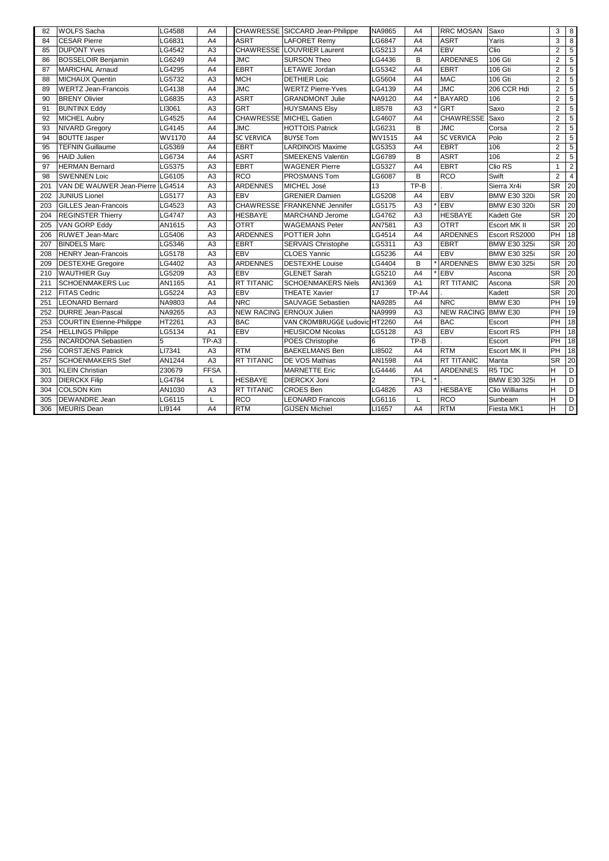| 82  | <b>WOLFS Sacha</b>              | G4588         | A4             |                   | CHAWRESSE SICCARD Jean-Philippe | <b>NA9865</b> | A4             | <b>RRC MOSAN</b>          | Saxo                | 3              | 8              |
|-----|---------------------------------|---------------|----------------|-------------------|---------------------------------|---------------|----------------|---------------------------|---------------------|----------------|----------------|
| 84  | <b>CESAR Pierre</b>             | G6831         | A4             | <b>ASRT</b>       | <b>LAFORET Remy</b>             | <b>LG6847</b> | A4             | <b>ASRT</b>               | Yaris               | 3              | 8              |
| 85  | <b>DUPONT Yves</b>              | <b>G4542</b>  | A <sub>3</sub> |                   | CHAWRESSE LOUVRIER Laurent      | LG5213        | A4             | <b>EBV</b>                | Clio                | $\overline{2}$ | 5              |
| 86  | <b>BOSSELOIR Benjamin</b>       | G6249         | A4             | <b>JMC</b>        | <b>SURSON Theo</b>              | LG4436        | B              | <b>ARDENNES</b>           | 106 Gti             | $\overline{2}$ | 5              |
| 87  | <b>MARICHAL Arnaud</b>          | G4295         | A4             | <b>EBRT</b>       | LETAWE Jordan                   | LG5342        | A4             | <b>EBRT</b>               | 106 Gti             | $\overline{2}$ | 5              |
| 88  | MICHAUX Quentin                 | G5732         | A <sub>3</sub> | MCH               | <b>DETHIER Loic</b>             | LG5604        | A4             | <b>MAC</b>                | 106 Gti             | $\overline{2}$ | 5              |
| 89  | <b>WERTZ Jean-Francois</b>      | LG4138        | A4             | <b>JMC</b>        | <b>WERTZ Pierre-Yves</b>        | LG4139        | A4             | <b>JMC</b>                | 206 CCR Hdi         | $\overline{2}$ | 5              |
| 90  | <b>BRENY Olivier</b>            | G6835         | A <sub>3</sub> | <b>ASRT</b>       | <b>GRANDMONT Julie</b>          | NA9120        | A4             | <b>BAYARD</b>             | 106                 | $\overline{2}$ | 5              |
| 91  | <b>BUNTINX Eddy</b>             | LI3061        | A <sub>3</sub> | <b>GRT</b>        | <b>HUYSMANS Elsy</b>            | LI8578        | A3             | <b>GRT</b>                | Saxo                | $\overline{2}$ | 5              |
| 92  | <b>MICHEL Aubry</b>             | G4525         | A4             | <b>CHAWRESSE</b>  | <b>MICHEL Gatien</b>            | LG4607        | A4             | <b>CHAWRESSE</b>          | Saxo                | $\overline{2}$ | 5              |
| 93  | <b>NIVARD Gregory</b>           | <b>G4145</b>  | A4             | <b>JMC</b>        | <b>HOTTOIS Patrick</b>          | LG6231        | B              | <b>JMC</b>                | Corsa               | $\overline{2}$ | $\overline{5}$ |
| 94  | <b>BOUTTE Jasper</b>            | WV1170        | A4             | <b>SC VERVICA</b> | <b>BUYSE Tom</b>                | <b>WV1515</b> | A4             | <b>SC VERVICA</b>         | Polo                | $\overline{2}$ | 5              |
| 95  | <b>TEFNIN Guillaume</b>         | G5369         | A4             | <b>EBRT</b>       | <b>LARDINOIS Maxime</b>         | LG5353        | A4             | <b>EBRT</b>               | 106                 | $\overline{2}$ | 5              |
| 96  | <b>HAID Julien</b>              | G6734         | A4             | <b>ASRT</b>       | <b>SMEEKENS Valentin</b>        | LG6789        | B              | <b>ASRT</b>               | 106                 | $\overline{2}$ | 5              |
| 97  | <b>HERMAN Bernard</b>           | G5375         | A <sub>3</sub> | <b>EBRT</b>       | <b>WAGENER Pierre</b>           | LG5327        | A4             | <b>EBRT</b>               | Clio RS             | $\mathbf 1$    | $\overline{2}$ |
| 98  | <b>SWENNEN Loic</b>             | LG6105        | A3             | <b>RCO</b>        | <b>PROSMANS Tom</b>             | LG6087        | B              | <b>RCO</b>                | Swift               | $\overline{2}$ | $\overline{4}$ |
| 201 | VAN DE WAUWER Jean-Pierre       | LG4514        | A <sub>3</sub> | <b>ARDENNES</b>   | MICHEL José                     | 13            | TP-B           |                           | Sierra Xr4i         | <b>SR</b>      | 20             |
| 202 | <b>JUNIUS Lionel</b>            | LG5177        | A <sub>3</sub> | <b>EBV</b>        | <b>GRENIER Damien</b>           | LG5208        | A4             | <b>EBV</b>                | <b>BMW E30 320i</b> | <b>SR</b>      | 20             |
| 203 | <b>GILLES Jean-Francois</b>     | G4523         | A3             |                   | CHAWRESSE FRANKENNE Jennifer    | LG5175        | A3             | <b>EBV</b>                | <b>BMW E30 320i</b> | <b>SR</b>      | 20             |
| 204 | <b>REGINSTER Thierry</b>        | <b>G4747</b>  | A <sub>3</sub> | <b>HESBAYE</b>    | <b>MARCHAND Jerome</b>          | LG4762        | A3             | <b>HESBAYE</b>            | <b>Kadett Gte</b>   | <b>SR</b>      | 20             |
| 205 | <b>VAN GORP Eddy</b>            | AN1615        | A <sub>3</sub> | <b>OTRT</b>       | <b>WAGEMANS Peter</b>           | AN7581        | A3             | <b>OTRT</b>               | <b>Escort MK II</b> | <b>SR</b>      | 20             |
| 206 | <b>RUWET Jean-Marc</b>          | LG5406        | A <sub>3</sub> | <b>ARDENNES</b>   | POTTIER John                    | LG4514        | A4             | <b>ARDENNES</b>           | Escort RS2000       | <b>PH</b>      | 18             |
| 207 | <b>BINDELS Marc</b>             | G5346         | A3             | <b>EBRT</b>       | <b>SERVAIS Christophe</b>       | LG5311        | A3             | <b>EBRT</b>               | <b>BMW E30 325i</b> | <b>SR</b>      | 20             |
| 208 | <b>HENRY Jean-Francois</b>      | LG5178        | A <sub>3</sub> | <b>EBV</b>        | <b>CLOES Yannic</b>             | LG5236        | A4             | <b>EBV</b>                | <b>BMW E30 325i</b> | <b>SR</b>      | 20             |
| 209 | <b>DESTEXHE Gregoire</b>        | <b>G4402</b>  | A <sub>3</sub> | <b>ARDENNES</b>   | <b>DESTEXHE Louise</b>          | LG4404        | B              | <b>ARDENNES</b>           | <b>BMW E30 325i</b> | <b>SR</b>      | 20             |
| 210 | <b>WAUTHIER Guy</b>             | G5209         | A <sub>3</sub> | <b>EBV</b>        | <b>GLENET Sarah</b>             | LG5210        | A4             | <b>IEBV</b>               | Ascona              | <b>SR</b>      | 20             |
| 211 | <b>SCHOENMAKERS Luc</b>         | AN1165        | A <sub>1</sub> | <b>RT TITANIC</b> | <b>SCHOENMAKERS Niels</b>       | AN1369        | A1             | <b>RT TITANIC</b>         | Ascona              | <b>SR</b>      | 20             |
| 212 | <b>FITAS Cedric</b>             | G5224-        | A <sub>3</sub> | <b>EBV</b>        | <b>THEATE Xavier</b>            | 17            | TP-A4          |                           | Kadett              | <b>SR</b>      | 20             |
| 251 | <b>LEONARD Bernard</b>          | NA9803        | A4             | <b>NRC</b>        | <b>SAUVAGE Sebastien</b>        | <b>NA9285</b> | A4             | <b>NRC</b>                | BMW E30             | PH             | 19             |
| 252 | <b>DURRE Jean-Pascal</b>        | <b>NA9265</b> | A <sub>3</sub> |                   | NEW RACING ERNOUX Julien        | <b>NA9999</b> | A3             | <b>NEW RACING BMW E30</b> |                     | <b>PH</b>      | 19             |
| 253 | <b>COURTIN Etienne-Philippe</b> | HT2261        | A <sub>3</sub> | <b>BAC</b>        | VAN CROMBRUGGE Ludovic HT2260   |               | A4             | <b>BAC</b>                | Escort              | PH             | 18             |
| 254 | <b>HELLINGS Philippe</b>        | LG5134        | A1             | <b>EBV</b>        | <b>HEUSICOM Nicolas</b>         | LG5128        | A <sub>3</sub> | <b>EBV</b>                | <b>Escort RS</b>    | PH 18          |                |
| 255 | <b>INCARDONA Sebastien</b>      |               | TP-A3          |                   | POES Christophe                 | 6             | TP-B           |                           | Escort              | PH 18          |                |
| 256 | <b>CORSTJENS Patrick</b>        | LI7341        | A <sub>3</sub> | <b>RTM</b>        | <b>BAEKELMANS Ben</b>           | LI8502        | A4             | <b>RTM</b>                | <b>Escort MK II</b> | PH             | 18             |
| 257 | <b>SCHOENMAKERS Stef</b>        | AN1244        | A <sub>3</sub> | <b>RT TITANIC</b> | <b>DE VOS Mathias</b>           | AN1598        | A4             | <b>RT TITANIC</b>         | Manta               | <b>SR</b>      | 20             |
| 301 | <b>KLEIN Christian</b>          | 230679        | <b>FFSA</b>    |                   | <b>MARNETTE Eric</b>            | LG4446        | A4             | <b>ARDENNES</b>           | R <sub>5</sub> TDC  | H              | D              |
| 303 | <b>DIERCKX Filip</b>            | LG4784        |                | <b>HESBAYE</b>    | <b>DIERCKX Joni</b>             |               | TP-L           |                           | <b>BMW E30 325i</b> | H              | D              |
| 304 | COLSON Kim                      | AN1030        | A <sub>3</sub> | <b>RT TITANIC</b> | <b>CROES Ben</b>                | LG4826        | A3             | <b>HESBAYE</b>            | Clio Williams       | H              | D              |
| 305 | <b>DEWANDRE Jean</b>            | LG6115        |                | <b>RCO</b>        | <b>LEONARD Francois</b>         | LG6116        | L.             | RCO                       | Sunbeam             | H.             | $\mathsf D$    |
| 306 | <b>MEURIS Dean</b>              | LI9144        | A4             | <b>RTM</b>        | <b>GIJSEN Michiel</b>           | LI1657        | A4             | <b>RTM</b>                | Fiesta MK1          | H.             | $\mathsf D$    |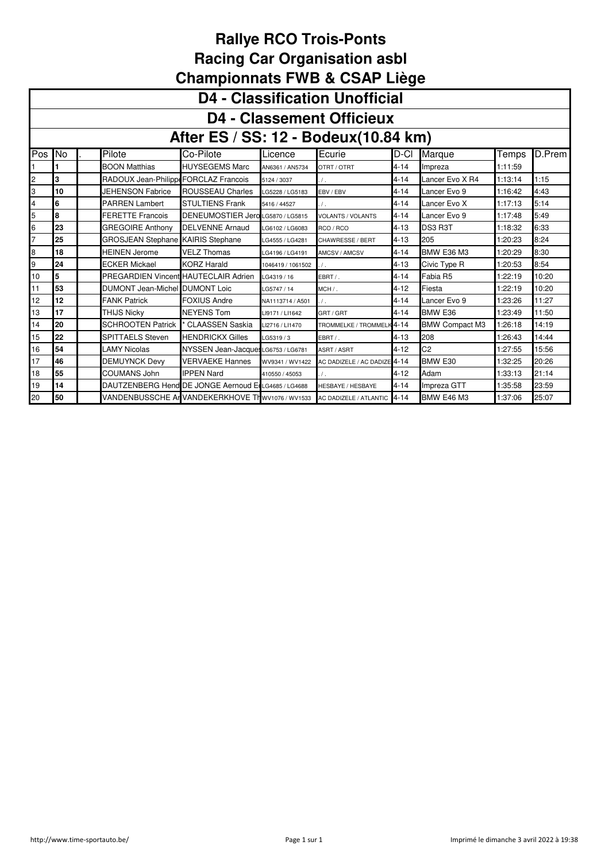|                         | <b>D4 - Classification Unofficial</b> |  |                                          |                                                                               |                   |                              |          |                       |         |        |  |  |
|-------------------------|---------------------------------------|--|------------------------------------------|-------------------------------------------------------------------------------|-------------------|------------------------------|----------|-----------------------|---------|--------|--|--|
|                         | <b>D4 - Classement Officieux</b>      |  |                                          |                                                                               |                   |                              |          |                       |         |        |  |  |
|                         | After ES / SS: 12 - Bodeux(10.84 km)  |  |                                          |                                                                               |                   |                              |          |                       |         |        |  |  |
| Pos                     | No                                    |  | Pilote                                   | Co-Pilote                                                                     | Licence           | Ecurie                       | D-CI     | Marque                | Temps   | D.Prem |  |  |
|                         |                                       |  | <b>BOON Matthias</b>                     | <b>HUYSEGEMS Marc</b>                                                         | AN6361 / AN5734   | OTRT / OTRT                  | $4 - 14$ | Impreza               | 1:11:59 |        |  |  |
| $\overline{\mathbf{c}}$ | 3                                     |  | RADOUX Jean-Philippe FORCLAZ Francois    |                                                                               | 5124 / 3037       | $\prime$ .                   | $4 - 14$ | Lancer Evo X R4       | 1:13:14 | 1:15   |  |  |
| 3                       | 10                                    |  | <b>JEHENSON Fabrice</b>                  | ROUSSEAU Charles                                                              | LG5228 / LG5183   | EBV / EBV                    | $4 - 14$ | Lancer Evo 9          | 1:16:42 | 4:43   |  |  |
| 4                       | 6                                     |  | <b>PARREN Lambert</b>                    | <b>STULTIENS Frank</b>                                                        | 5416 / 44527      | $\prime$ .                   | $4 - 14$ | Lancer Evo X          | 1:17:13 | 5:14   |  |  |
| 5                       | l8                                    |  | <b>FERETTE Francois</b>                  | DENEUMOSTIER Jero LG5870 / LG5815                                             |                   | <b>VOLANTS / VOLANTS</b>     | $4 - 14$ | Lancer Evo 9          | 1:17:48 | 5:49   |  |  |
| 6                       | 23                                    |  | <b>GREGOIRE Anthony</b>                  | <b>DELVENNE Arnaud</b>                                                        | LG6102 / LG6083   | RCO / RCO                    | 4-13     | DS3 R3T               | 1:18:32 | 6:33   |  |  |
| $\overline{7}$          | 25                                    |  | <b>GROSJEAN Stephane KAIRIS Stephane</b> |                                                                               | LG4555 / LG4281   | CHAWRESSE / BERT             | $4 - 13$ | 205                   | 1:20:23 | 8:24   |  |  |
| 8                       | 18                                    |  | <b>HEINEN Jerome</b>                     | <b>VELZ Thomas</b>                                                            | LG4196 / LG4191   | AMCSV / AMCSV                | $4 - 14$ | <b>BMW E36 M3</b>     | 1:20:29 | 8:30   |  |  |
| 9                       | 24                                    |  | <b>ECKER Mickael</b>                     | <b>KORZ Harald</b>                                                            | 1046419 / 1061502 | $\prime$ .                   | $4 - 13$ | Civic Type R          | 1:20:53 | 8:54   |  |  |
| 10                      | 5                                     |  | PREGARDIEN Vincent HAUTECLAIR Adrien     |                                                                               | LG4319 / 16       | EBRT /.                      | $4 - 14$ | Fabia R5              | 1:22:19 | 10:20  |  |  |
| 11                      | 53                                    |  | <b>DUMONT Jean-Michel DUMONT Loic</b>    |                                                                               | LG5747 / 14       | $MCH/$ .                     | $4 - 12$ | Fiesta                | 1:22:19 | 10:20  |  |  |
| 12                      | 12                                    |  | <b>FANK Patrick</b>                      | <b>FOXIUS Andre</b>                                                           | NA1113714 / A501  | $\prime$ .                   | $4 - 14$ | Lancer Evo 9          | 1:23:26 | 11:27  |  |  |
| 13                      | 17                                    |  | <b>THIJS Nicky</b>                       | <b>NEYENS Tom</b>                                                             | LI9171 / LI1642   | GRT/GRT                      | $4 - 14$ | BMW E36               | 1:23:49 | 11:50  |  |  |
| 14                      | 20                                    |  | <b>SCHROOTEN Patrick</b>                 | <b>CLAASSEN Saskia</b>                                                        | LI2716 / LI1470   | TROMMELKE / TROMMELK 4-14    |          | <b>BMW Compact M3</b> | 1:26:18 | 14:19  |  |  |
| 15                      | 22                                    |  | <b>SPITTAELS Steven</b>                  | <b>HENDRICKX Gilles</b>                                                       | LG5319/3          | EBRT /.                      | $4 - 13$ | 208                   | 1:26:43 | 14:44  |  |  |
| 16                      | 54                                    |  | <b>LAMY Nicolas</b>                      | NYSSEN Jean-Jacques LG6753 / LG6781                                           |                   | ASRT / ASRT                  | $4 - 12$ | C <sub>2</sub>        | 1:27:55 | 15:56  |  |  |
| 17                      | 46                                    |  | <b>DEMUYNCK Devy</b>                     | <b>VERVAEKE Hannes</b>                                                        | WV9341 / WV1422   | AC DADIZELE / AC DADIZE 4-14 |          | BMW E30               | 1:32:25 | 20:26  |  |  |
| 18                      | 55                                    |  | <b>COUMANS John</b>                      | <b>IPPEN Nard</b>                                                             | 410550 / 45053    |                              | $4 - 12$ | Adam                  | 1:33:13 | 21:14  |  |  |
| 19                      | 14                                    |  |                                          | DAUTZENBERG Hend DE JONGE Aernoud E LG4685 / LG4688                           |                   | <b>HESBAYE / HESBAYE</b>     | $4 - 14$ | Impreza GTT           | 1:35:58 | 23:59  |  |  |
| 20                      | 50                                    |  |                                          | VANDENBUSSCHE AI VANDEKERKHOVE TI WV1076 / WV1533 AC DADIZELE / ATLANTIC 4-14 |                   |                              |          | <b>BMW E46 M3</b>     | 1:37:06 | 25:07  |  |  |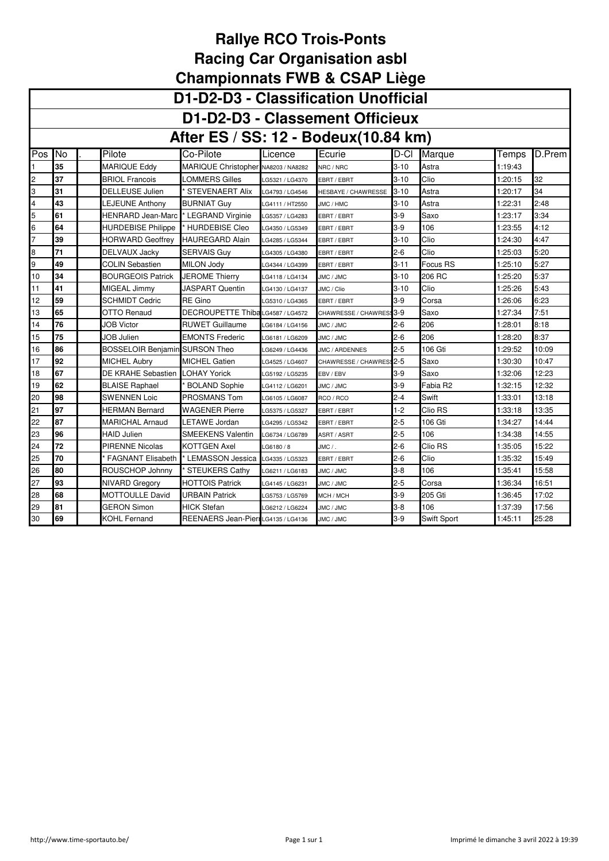|     | D1-D2-D3 - Classification Unofficial                                                                             |                                       |                                    |                 |                     |          |             |         |        |  |  |  |  |
|-----|------------------------------------------------------------------------------------------------------------------|---------------------------------------|------------------------------------|-----------------|---------------------|----------|-------------|---------|--------|--|--|--|--|
|     | D1-D2-D3 - Classement Officieux                                                                                  |                                       |                                    |                 |                     |          |             |         |        |  |  |  |  |
|     | After ES / SS: 12 - Bodeux(10.84 km)                                                                             |                                       |                                    |                 |                     |          |             |         |        |  |  |  |  |
| Pos | No                                                                                                               | Pilote                                | Co-Pilote                          | Licence         | Ecurie              | D-Cl     | Marque      | Temps   | D.Prem |  |  |  |  |
|     | 35                                                                                                               | MARIQUE Eddy                          | MARIQUE Christopher                | NA8203 / NA8282 | NRC / NRC           | $3-10$   | Astra       | 1:19:43 |        |  |  |  |  |
| 2   | 37                                                                                                               | <b>BRIOL Francois</b>                 | LOMMERS Gilles                     | G5321 / LG4370  | EBRT / EBRT         | 3-10     | Clio        | 1:20:15 | 32     |  |  |  |  |
| 3   | 31                                                                                                               | DELLEUSE Julien                       | <b>STEVENAERT Alix</b>             | LG4793 / LG4546 | HESBAYE / CHAWRESSE | $3 - 10$ | Astra       | 1:20:17 | 34     |  |  |  |  |
| 4   | 43                                                                                                               | <b>LEJEUNE Anthony</b>                | <b>BURNIAT Guy</b>                 | G4111 / HT2550  | JMC / HMC           | $3 - 10$ | Astra       | 1:22:31 | 2:48   |  |  |  |  |
| 5   | 61                                                                                                               | <b>HENRARD Jean-Marc</b>              | * LEGRAND Virginie                 | LG5357 / LG4283 | EBRT / EBRT         | $3-9$    | Saxo        | 1:23:17 | 3:34   |  |  |  |  |
| 6   | 64                                                                                                               | <b>HURDEBISE Philippe</b>             | * HURDEBISE Cleo                   | G4350 / LG5349  | EBRT / EBRT         | $3-9$    | 106         | 1:23:55 | 4:12   |  |  |  |  |
|     | 39                                                                                                               | HORWARD Geoffrey                      | <b>HAUREGARD Alain</b>             | LG4285 / LG5344 | EBRT / EBRT         | $3 - 10$ | Clio        | 1:24:30 | 4:47   |  |  |  |  |
| 8   | 71<br>$2 - 6$<br>Clio<br>5:20<br>DELVAUX Jacky<br>SERVAIS Guv<br>1:25:03<br>LG4305 / LG4380<br>EBRT / EBRT       |                                       |                                    |                 |                     |          |             |         |        |  |  |  |  |
| 9   | 49<br>COLIN Sebastien<br>$3 - 11$<br>Focus RS<br>5:27<br>MILON Jodv<br>1:25:10<br>LG4344 / LG4399<br>EBRT / EBRT |                                       |                                    |                 |                     |          |             |         |        |  |  |  |  |
| 10  | 34                                                                                                               | <b>BOURGEOIS Patrick</b>              | <b>JEROME Thierry</b>              | LG4118 / LG4134 | JMC / JMC           | $3-10$   | 206 RC      | 1:25:20 | 5:37   |  |  |  |  |
| 11  | 41                                                                                                               | MIGEAL Jimmy                          | JASPART Quentin                    | LG4130 / LG4137 | JMC / Clio          | $3 - 10$ | Clio        | 1:25:26 | 5:43   |  |  |  |  |
| 12  | 59                                                                                                               | SCHMIDT Cedric                        | RE Gino                            | LG5310 / LG4365 | EBRT / EBRT         | $3-9$    | Corsa       | 1:26:06 | 6:23   |  |  |  |  |
| 13  | 65                                                                                                               | <b>OTTO Renaud</b>                    | DECROUPETTE Thiba LG4587 / LG4572  |                 | CHAWRESSE / CHAWRES | $3-9$    | Saxo        | 1:27:34 | 7:51   |  |  |  |  |
| 14  | 76                                                                                                               | JOB Victor                            | <b>RUWET Guillaume</b>             | G6184 / LG4156  | JMC / JMC           | $2-6$    | 206         | 1:28:01 | 8:18   |  |  |  |  |
| 15  | 75                                                                                                               | <b>JOB Julien</b>                     | <b>EMONTS Frederic</b>             | G6181 / LG6209  | JMC / JMC           | $2-6$    | 206         | 1:28:20 | 8:37   |  |  |  |  |
| 16  | 86                                                                                                               | <b>BOSSELOIR Benjamin SURSON Theo</b> |                                    | G6249 / LG4436  | JMC / ARDENNES      | $2 - 5$  | 106 Gti     | 1:29:52 | 10:09  |  |  |  |  |
| 17  | 92                                                                                                               | <b>MICHEL Aubry</b>                   | <b>MICHEL Gatien</b>               | LG4525 / LG4607 | CHAWRESSE / CHAWRES | $2 - 5$  | Saxo        | 1:30:30 | 10:47  |  |  |  |  |
| 18  | 67                                                                                                               | DE KRAHE Sebastien                    | <b>LOHAY Yorick</b>                | LG5192 / LG5235 | EBV / EBV           | $3-9$    | Saxo        | 1:32:06 | 12:23  |  |  |  |  |
| 19  | 62                                                                                                               | <b>BLAISE Raphael</b>                 | <b>BOLAND Sophie</b>               | LG4112 / LG6201 | JMC / JMC           | $3-9$    | Fabia R2    | 1:32:15 | 12:32  |  |  |  |  |
| 20  | 98                                                                                                               | SWENNEN Loic                          | PROSMANS Tom                       | LG6105 / LG6087 | RCO / RCO           | $2 - 4$  | Swift       | 1:33:01 | 13:18  |  |  |  |  |
| 21  | 97                                                                                                               | <b>HERMAN Bernard</b>                 | WAGENER Pierre                     | LG5375 / LG5327 | EBRT / EBRT         | $1 - 2$  | Clio RS     | 1:33:18 | 13:35  |  |  |  |  |
| 22  | 87                                                                                                               | MARICHAL Arnaud                       | LETAWE Jordan                      | LG4295 / LG5342 | EBRT / EBRT         | $2 - 5$  | 106 Gti     | 1:34:27 | 14:44  |  |  |  |  |
| 23  | 96                                                                                                               | <b>HAID Julien</b>                    | <b>SMEEKENS Valentin</b>           | LG6734 / LG6789 | ASRT / ASRT         | $2 - 5$  | 106         | 1:34:38 | 14:55  |  |  |  |  |
| 24  | 72                                                                                                               | <b>PIRENNE Nicolas</b>                | KOTTGEN Axel                       | G6180/8         | JMC / .             | $2 - 6$  | Clio RS     | 1:35:05 | 15:22  |  |  |  |  |
| 25  | 70                                                                                                               | <b>FAGNANT Elisabeth</b>              | * LEMASSON Jessica                 | LG4335 / LG5323 | EBRT / EBRT         | $2 - 6$  | Clio        | 1:35:32 | 15:49  |  |  |  |  |
| 26  | 80                                                                                                               | ROUSCHOP Johnny                       | <b>STEUKERS Cathy</b>              | G6211 / LG6183  | JMC / JMC           | $3 - 8$  | 106         | 1:35:41 | 15:58  |  |  |  |  |
| 27  | 93                                                                                                               | NIVARD Gregory                        | HOTTOIS Patrick                    | G4145 / LG6231  | JMC / JMC           | $2 - 5$  | Corsa       | 1:36:34 | 16:51  |  |  |  |  |
| 28  | 68                                                                                                               | <b>MOTTOULLE David</b>                | <b>URBAIN Patrick</b>              | G5753 / LG5769  | MCH / MCH           | $3-9$    | 205 Gti     | 1:36:45 | 17:02  |  |  |  |  |
| 29  | 81                                                                                                               | GERON Simon                           | HICK Stefan                        | G6212 / LG6224  | JMC / JMC           | $3 - 8$  | 106         | 1:37:39 | 17:56  |  |  |  |  |
| 30  | 69                                                                                                               | KOHL Fernand                          | REENAERS Jean-PierrLG4135 / LG4136 |                 | JMC / JMC           | $3-9$    | Swift Sport | 1:45:11 | 25:28  |  |  |  |  |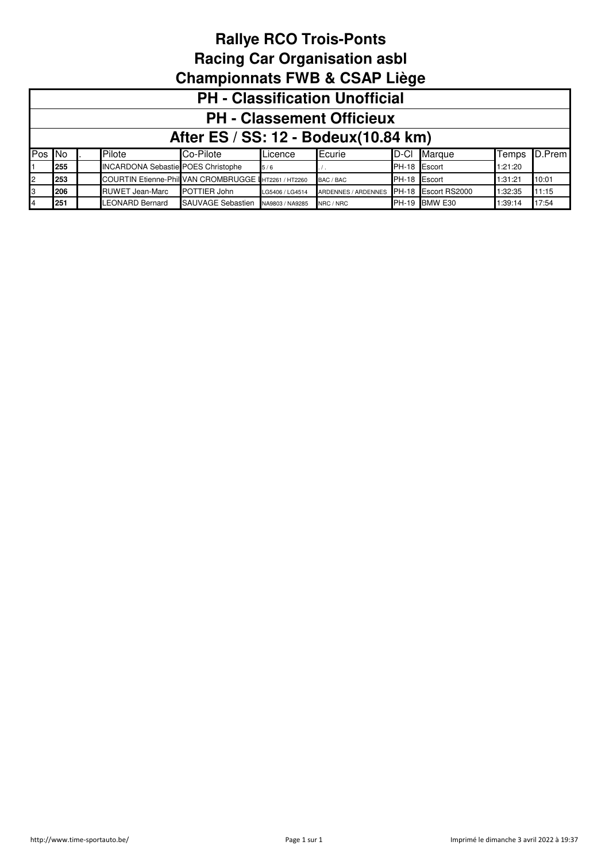|        | <b>PH - Classification Unofficial</b> |  |                                                       |                   |                 |                     |              |                      |         |        |  |  |
|--------|---------------------------------------|--|-------------------------------------------------------|-------------------|-----------------|---------------------|--------------|----------------------|---------|--------|--|--|
|        | <b>PH - Classement Officieux</b>      |  |                                                       |                   |                 |                     |              |                      |         |        |  |  |
|        | After ES / SS: 12 - Bodeux (10.84 km) |  |                                                       |                   |                 |                     |              |                      |         |        |  |  |
| Pos No |                                       |  | Pilote                                                | Co-Pilote         | Licence         | Ecurie              | D-CI         | Marque               | Temps   | D.Prem |  |  |
|        | 255                                   |  | <b>INCARDONA Sebastie POES Christophe</b>             |                   | 5/6             |                     | PH-18 Escort |                      | 1:21:20 |        |  |  |
| 2      | 253                                   |  | COURTIN Etienne-Phill VAN CROMBRUGGE IHT2261 / HT2260 |                   |                 | BAC / BAC           |              | PH-18 Escort         | 1:31:21 | 10:01  |  |  |
| IЗ     | 206                                   |  | <b>RUWET Jean-Marc</b>                                | POTTIER John      | LG5406 / LG4514 | ARDENNES / ARDENNES |              | PH-18 Escort RS2000  | 1:32:35 | 11:15  |  |  |
| 4      | 251                                   |  | <b>LEONARD Bernard</b>                                | SAUVAGE Sebastien | NA9803 / NA9285 | NRC / NRC           |              | <b>PH-19 BMW E30</b> | 1:39:14 | 17:54  |  |  |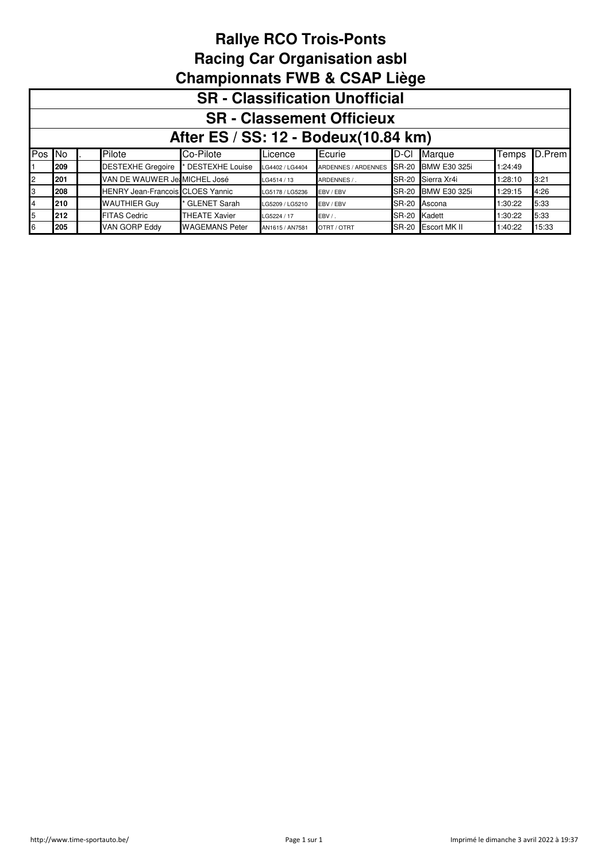|        | <b>SR</b> - Classification Unofficial |  |                                         |                       |                 |                     |              |                     |         |        |  |  |  |
|--------|---------------------------------------|--|-----------------------------------------|-----------------------|-----------------|---------------------|--------------|---------------------|---------|--------|--|--|--|
|        | <b>SR - Classement Officieux</b>      |  |                                         |                       |                 |                     |              |                     |         |        |  |  |  |
|        | After ES / SS: 12 - Bodeux (10.84 km) |  |                                         |                       |                 |                     |              |                     |         |        |  |  |  |
| Pos No |                                       |  | Pilote                                  | Co-Pilote             | Licence         | Ecurie              | ID-CI        | Marque              | Temps   | D.Prem |  |  |  |
|        | 209                                   |  | <b>DESTEXHE Gregoire</b>                | DESTEXHE Louise       | LG4402 / LG4404 | ARDENNES / ARDENNES | <b>SR-20</b> | <b>BMW E30 325i</b> | 1:24:49 |        |  |  |  |
| 2      | 201                                   |  | VAN DE WAUWER Je MICHEL José            |                       | LG4514 / 13     | ARDENNES / .        | <b>SR-20</b> | Sierra Xr4i         | 1:28:10 | 3:21   |  |  |  |
| IЗ     | 208                                   |  | <b>HENRY Jean-Francois CLOES Yannic</b> |                       | LG5178 / LG5236 | EBV / EBV           | <b>SR-20</b> | <b>BMW E30 325i</b> | 1:29:15 | 4:26   |  |  |  |
| 4      | 210                                   |  | <b>WAUTHIER Guy</b>                     | GLENET Sarah          | LG5209 / LG5210 | EBV / EBV           | <b>SR-20</b> | Ascona              | 1:30:22 | 5:33   |  |  |  |
| 5      | 212                                   |  | <b>FITAS Cedric</b>                     | <b>THEATE Xavier</b>  | LG5224 / 17     | EBV /.              | <b>SR-20</b> | Kadett              | 1:30:22 | 5:33   |  |  |  |
| 6      | 205                                   |  | <b>VAN GORP Eddy</b>                    | <b>WAGEMANS Peter</b> | AN1615 / AN7581 | OTRT / OTRT         |              | SR-20 Escort MK II  | 1:40:22 | 15:33  |  |  |  |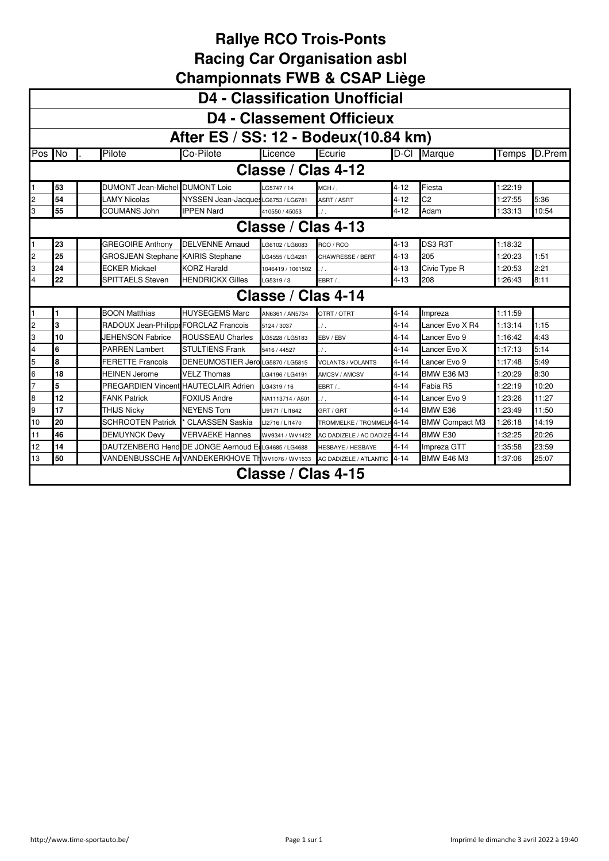|                | <b>D4 - Classification Unofficial</b>                                                                                       |                                       |                                                     |                    |                              |          |                       |         |        |  |  |  |  |
|----------------|-----------------------------------------------------------------------------------------------------------------------------|---------------------------------------|-----------------------------------------------------|--------------------|------------------------------|----------|-----------------------|---------|--------|--|--|--|--|
|                | <b>D4 - Classement Officieux</b>                                                                                            |                                       |                                                     |                    |                              |          |                       |         |        |  |  |  |  |
|                | After ES / SS: 12 - Bodeux (10.84 km)                                                                                       |                                       |                                                     |                    |                              |          |                       |         |        |  |  |  |  |
| Pos No         |                                                                                                                             | Pilote                                | Co-Pilote                                           | Licence            | Ecurie                       | D-CI     | Marque                | Temps   | D.Prem |  |  |  |  |
|                | Classe / Clas 4-12                                                                                                          |                                       |                                                     |                    |                              |          |                       |         |        |  |  |  |  |
| 1              | 53                                                                                                                          | <b>DUMONT Jean-Michel DUMONT Loic</b> |                                                     | LG5747 / 14        | MCH /.                       | 4-12     | Fiesta                | 1:22:19 |        |  |  |  |  |
| 2              | 54                                                                                                                          | <b>LAMY Nicolas</b>                   | NYSSEN Jean-Jacque: LG6753 / LG6781                 |                    | ASRT / ASRT                  | $4 - 12$ | C <sub>2</sub>        | 1:27:55 | 5:36   |  |  |  |  |
| 3              | 55                                                                                                                          | COUMANS John                          | <b>IPPEN Nard</b>                                   | 410550 / 45053     | $\sqrt{ }$                   | $4 - 12$ | Adam                  | 1:33:13 | 10:54  |  |  |  |  |
|                | Classe / Clas 4-13                                                                                                          |                                       |                                                     |                    |                              |          |                       |         |        |  |  |  |  |
|                | 23<br>DS3 R3T<br><b>GREGOIRE Anthony</b><br><b>DELVENNE Arnaud</b><br>$4 - 13$<br>1:18:32<br>RCO / RCO<br>LG6102 / LG6083   |                                       |                                                     |                    |                              |          |                       |         |        |  |  |  |  |
| $\overline{c}$ | 25<br>205<br><b>GROSJEAN Stephane KAIRIS Stephane</b><br>$4 - 13$<br>1:51<br>1:20:23<br>LG4555 / LG4281<br>CHAWRESSE / BERT |                                       |                                                     |                    |                              |          |                       |         |        |  |  |  |  |
| 3              | 24                                                                                                                          | ECKER Mickael                         | <b>KORZ Harald</b>                                  | 1046419 / 1061502  | $\overline{1}$ .             | $4 - 13$ | Civic Type R          | 1:20:53 | 2:21   |  |  |  |  |
| 4              | 22<br><b>SPITTAELS Steven</b><br><b>HENDRICKX Gilles</b><br>$4 - 13$<br>208<br>8:11<br>EBRT / .<br>1:26:43<br>LG5319 / 3    |                                       |                                                     |                    |                              |          |                       |         |        |  |  |  |  |
|                |                                                                                                                             |                                       |                                                     | Classe / Clas 4-14 |                              |          |                       |         |        |  |  |  |  |
|                | 1                                                                                                                           | <b>BOON Matthias</b>                  | <b>HUYSEGEMS Marc</b>                               | AN6361 / AN5734    | OTRT / OTRT                  | 4-14     | Impreza               | 1:11:59 |        |  |  |  |  |
| $\overline{c}$ | 3                                                                                                                           | RADOUX Jean-Philippe FORCLAZ Francois |                                                     | 5124 / 3037        | $\prime$ .                   | $4 - 14$ | Lancer Evo X R4       | 1:13:14 | 1:15   |  |  |  |  |
| 3              | 10                                                                                                                          | JEHENSON Fabrice                      | <b>ROUSSEAU Charles</b>                             | LG5228 / LG5183    | EBV / EBV                    | $4 - 14$ | Lancer Evo 9          | 1:16:42 | 4:43   |  |  |  |  |
| 4              | 6                                                                                                                           | <b>PARREN Lambert</b>                 | <b>STULTIENS Frank</b>                              | 5416 / 44527       | $\prime$ .                   | $4 - 14$ | Lancer Evo X          | 1:17:13 | 5:14   |  |  |  |  |
| 5              | 8                                                                                                                           | <b>FERETTE Francois</b>               | DENEUMOSTIER Jero LG5870 / LG5815                   |                    | <b>VOLANTS / VOLANTS</b>     | $4 - 14$ | Lancer Evo 9          | 1:17:48 | 5:49   |  |  |  |  |
| 6              | 18                                                                                                                          | <b>HEINEN Jerome</b>                  | <b>VELZ Thomas</b>                                  | LG4196 / LG4191    | AMCSV / AMCSV                | $4 - 14$ | <b>BMW E36 M3</b>     | 1:20:29 | 8:30   |  |  |  |  |
| $\overline{7}$ | 5                                                                                                                           | PREGARDIEN Vincent HAUTECLAIR Adrien  |                                                     | LG4319 / 16        | EBRT /.                      | $4 - 14$ | Fabia R5              | 1:22:19 | 10:20  |  |  |  |  |
| 8              | 12                                                                                                                          | <b>FANK Patrick</b>                   | <b>FOXIUS Andre</b>                                 | NA1113714 / A501   | $\overline{I}$ .             | $4 - 14$ | Lancer Evo 9          | 1:23:26 | 11:27  |  |  |  |  |
| 9              | 17                                                                                                                          | <b>THIJS Nicky</b>                    | <b>NEYENS Tom</b>                                   | LI9171 / LI1642    | GRT / GRT                    | $4 - 14$ | BMW E36               | 1:23:49 | 11:50  |  |  |  |  |
| 10             | 20                                                                                                                          | <b>SCHROOTEN Patrick</b>              | CLAASSEN Saskia                                     | LI2716 / LI1470    | TROMMELKE / TROMMELK         | $4 - 14$ | <b>BMW Compact M3</b> | 1:26:18 | 14:19  |  |  |  |  |
| 11             | 46                                                                                                                          | <b>DEMUYNCK Devy</b>                  | <b>VERVAEKE Hannes</b>                              | WV9341 / WV1422    | AC DADIZELE / AC DADIZE 4-14 |          | BMW E30               | 1:32:25 | 20:26  |  |  |  |  |
| 12             | 14                                                                                                                          |                                       | DAUTZENBERG Hend DE JONGE Aernoud E LG4685 / LG4688 |                    | <b>HESBAYE / HESBAYE</b>     | $4 - 14$ | Impreza GTT           | 1:35:58 | 23:59  |  |  |  |  |
| 13             | 50                                                                                                                          |                                       | VANDENBUSSCHE Ar VANDEKERKHOVE TI wV1076 / WV1533   |                    | AC DADIZELE / ATLANTIC 4-14  |          | <b>BMW E46 M3</b>     | 1:37:06 | 25:07  |  |  |  |  |
|                |                                                                                                                             |                                       |                                                     | Classe / Clas 4-15 |                              |          |                       |         |        |  |  |  |  |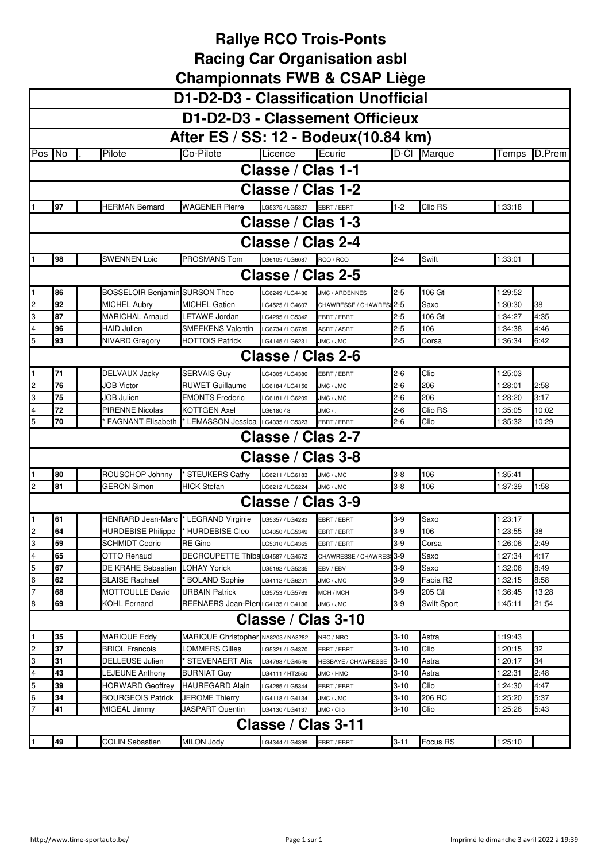|                | D1-D2-D3 - Classification Unofficial |                                          |                                          |                             |                          |          |                    |                    |        |  |  |
|----------------|--------------------------------------|------------------------------------------|------------------------------------------|-----------------------------|--------------------------|----------|--------------------|--------------------|--------|--|--|
|                | D1-D2-D3 - Classement Officieux      |                                          |                                          |                             |                          |          |                    |                    |        |  |  |
|                |                                      |                                          |                                          |                             |                          |          |                    |                    |        |  |  |
|                |                                      |                                          | After ES / SS: 12 - Bodeux(10.84 km)     |                             |                          |          |                    |                    |        |  |  |
| Pos No         |                                      | Pilote                                   | Co-Pilote                                | Licence                     | Ecurie                   |          | D-Cl Marque        | Temps              | D.Prem |  |  |
|                |                                      |                                          |                                          | Classe / Clas 1-1           |                          |          |                    |                    |        |  |  |
|                |                                      |                                          |                                          | Classe / Clas 1-2           |                          |          |                    |                    |        |  |  |
|                | 97                                   | <b>HERMAN Bernard</b>                    | <b>WAGENER Pierre</b>                    | LG5375 / LG5327 EBRT / EBRT |                          | $1 - 2$  | Clio RS            | 1:33:18            |        |  |  |
|                |                                      |                                          |                                          |                             |                          |          |                    |                    |        |  |  |
|                | Classe / Clas 1-3                    |                                          |                                          |                             |                          |          |                    |                    |        |  |  |
|                | Classe / Clas 2-4                    |                                          |                                          |                             |                          |          |                    |                    |        |  |  |
|                | 98                                   | <b>SWENNEN Loic</b>                      | PROSMANS Tom                             | LG6105 / LG6087             | RCO / RCO                | $2 - 4$  | Swift              | 1:33:01            |        |  |  |
|                | Classe / Clas 2-5                    |                                          |                                          |                             |                          |          |                    |                    |        |  |  |
|                | 86                                   | BOSSELOIR Benjamin SURSON Theo           |                                          | G6249 / LG4436              | JMC / ARDENNES           | $2 - 5$  | 106 Gti            | 1:29:52            |        |  |  |
| 2              | 92                                   | <b>MICHEL Aubry</b>                      | MICHEL Gatien                            | LG4525 / LG4607             | CHAWRESSE / CHAWRES: 2-5 |          | Saxo               | 1:30:30            | 38     |  |  |
| 3              | 87                                   | MARICHAL Arnaud                          | LETAWE Jordan                            | LG4295 / LG5342             | EBRT / EBRT              | $2 - 5$  | 106 Gti            | 1:34:27            | 4:35   |  |  |
| 4              | 96                                   | HAID Julien                              | SMEEKENS Valentin                        | LG6734 / LG6789             | ASRT / ASRT              | $2 - 5$  | 106                | 1:34:38            | 4:46   |  |  |
| 5              | 93                                   | NIVARD Gregory                           | <b>HOTTOIS Patrick</b>                   | LG4145 / LG6231             | JMC / JMC                | $2 - 5$  | Corsa              | 1:36:34            | 6:42   |  |  |
|                | Classe / Clas 2-6                    |                                          |                                          |                             |                          |          |                    |                    |        |  |  |
|                | 71                                   | DELVAUX Jacky                            | SERVAIS Guy                              | LG4305 / LG4380             | EBRT / EBRT              | $2 - 6$  | Clio               | 1:25:03            |        |  |  |
| 2              | 76                                   | <b>JOB Victor</b>                        | RUWET Guillaume                          | LG6184 / LG4156             | JMC / JMC                | $2 - 6$  | 206                | 1:28:01            | 2:58   |  |  |
| 3              | 75                                   | JOB Julien                               | <b>EMONTS Frederic</b>                   | LG6181 / LG6209             | JMC / JMC                | $2 - 6$  | 206                | 1:28:20            | 3:17   |  |  |
| 4              | 72                                   | PIRENNE Nicolas                          | KOTTGEN Axel                             | LG6180/8                    | JMC / .                  | $2 - 6$  | Clio RS            | 1:35:05            | 10:02  |  |  |
| 5              | 70                                   | <b>FAGNANT Elisabeth</b>                 | * LEMASSON Jessica LG4335 / LG5323       |                             | EBRT / EBRT              | $2 - 6$  | Clio               | 1:35:32            | 10:29  |  |  |
|                |                                      |                                          |                                          | Classe / Clas 2-7           |                          |          |                    |                    |        |  |  |
|                |                                      |                                          |                                          | Classe / Clas 3-8           |                          |          |                    |                    |        |  |  |
|                | 80                                   | ROUSCHOP Johnny                          | <b>STEUKERS Cathy</b>                    | LG6211 / LG6183             | JMC / JMC                | $3 - 8$  | 106                | 1:35:41            |        |  |  |
|                | 81                                   | <b>GERON Simon</b>                       | <b>HICK Stefan</b>                       | LG6212 / LG6224             | JMC / JMC                | $3 - 8$  | 106                | 1:37:39            | 1:58   |  |  |
|                |                                      |                                          |                                          | Classe / Clas 3-9           |                          |          |                    |                    |        |  |  |
|                | 61                                   | HENRARD Jean-Marc                        | <b>LEGRAND Virginie</b>                  | G5357 / LG4283              | EBRT / EBRT              | $3-9$    | Saxo               | 1:23:17            |        |  |  |
| 2              | 64                                   | HURDEBISE Philippe                       | <b>HURDEBISE Cleo</b>                    | LG4350 / LG5349             | EBRT / EBRT              | $3-9$    | 106                | 1:23:55            | 38     |  |  |
| З              | 59                                   | SCHMIDT Cedric                           | RE Gino                                  | LG5310 / LG4365             | EBRT / EBRT              | 3-9      | Corsa              | 1:26:06            | 2:49   |  |  |
| 4              | 65                                   | <b>OTTO Renaud</b>                       | <b>DECROUPETTE Thiba</b>                 | LG4587 / LG4572             | CHAWRESSE / CHAWRESS 3-9 |          | Saxo               | 1:27:34            | 4:17   |  |  |
| 5              | 67                                   | DE KRAHE Sebastien                       | LOHAY Yorick                             | LG5192 / LG5235             | EBV / EBV                | $3-9$    | Saxo               | 1:32:06            | 8:49   |  |  |
| 6              | 62                                   | BLAISE Raphael                           | <b>BOLAND Sophie</b>                     | LG4112 / LG6201             | JMC / JMC                | $3-9$    | Fabia R2           | 1:32:15            | 8:58   |  |  |
|                | 68                                   | MOTTOULLE David                          | URBAIN Patrick                           | LG5753 / LG5769             | MCH / MCH                | $3-9$    | 205 Gti            | 1:36:45            | 13:28  |  |  |
| 8              | 69                                   | KOHL Fernand                             | REENAERS Jean-PierrLG4135 / LG4136       |                             | JMC / JMC                | $3-9$    | <b>Swift Sport</b> | 1:45:11            | 21:54  |  |  |
|                |                                      |                                          |                                          | Classe / Clas 3-10          |                          |          |                    |                    |        |  |  |
|                | 35                                   | <b>MARIQUE Eddy</b>                      | MARIQUE Christopher NA8203 / NA8282      |                             | NRC / NRC                | $3 - 10$ | Astra              | 1:19:43            |        |  |  |
| $\overline{c}$ | 37                                   | <b>BRIOL Francois</b>                    | LOMMERS Gilles                           | LG5321 / LG4370             | EBRT / EBRT              | $3 - 10$ | Clio               | 1:20:15            | 32     |  |  |
| 3              | 31                                   | DELLEUSE Julien                          | <b>STEVENAERT Alix</b>                   | LG4793 / LG4546             | HESBAYE / CHAWRESSE      | 3-10     | Astra              | 1:20:17            | 34     |  |  |
| 4              | 43                                   | LEJEUNE Anthony                          | <b>BURNIAT Guy</b>                       | LG4111 / HT2550             | JMC / HMC                | $3 - 10$ | Astra              | 1:22:31            | 2:48   |  |  |
| 5              | 39                                   | HORWARD Geoffrey                         | <b>HAUREGARD Alain</b>                   | LG4285 / LG5344             | EBRT / EBRT              | $3 - 10$ | Clio               | 1:24:30            | 4:47   |  |  |
| 6<br>7         | 34<br>41                             | <b>BOURGEOIS Patrick</b><br>MIGEAL Jimmy | <b>JEROME Thierry</b><br>JASPART Quentin | LG4118 / LG4134             | JMC / JMC                | $3-10$   | 206 RC<br>Clio     | 1:25:20<br>1:25:26 | 5:37   |  |  |
|                |                                      |                                          |                                          | LG4130 / LG4137             | JMC / Clio               | $3-10$   |                    |                    | 5:43   |  |  |
|                |                                      |                                          |                                          | Classe / Clas 3-11          |                          |          |                    |                    |        |  |  |
|                | 49                                   | <b>COLIN Sebastien</b>                   | <b>MILON Jody</b>                        | LG4344 / LG4399             | EBRT / EBRT              | $3 - 11$ | Focus RS           | 1:25:10            |        |  |  |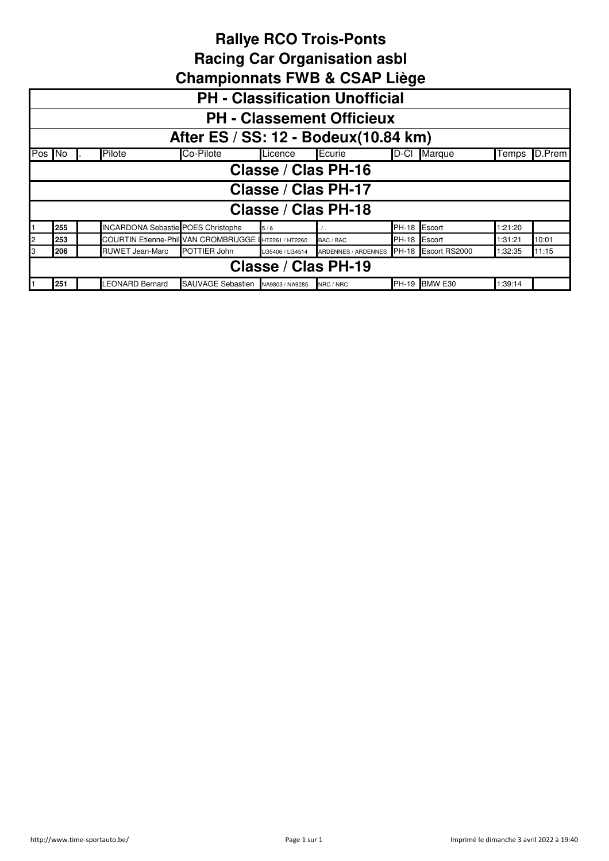|    | <b>PH - Classification Unofficial</b>                                                                                           |  |                                           |           |                 |                     |              |        |         |        |  |
|----|---------------------------------------------------------------------------------------------------------------------------------|--|-------------------------------------------|-----------|-----------------|---------------------|--------------|--------|---------|--------|--|
|    | <b>PH - Classement Officieux</b>                                                                                                |  |                                           |           |                 |                     |              |        |         |        |  |
|    | After ES / SS: 12 - Bodeux(10.84 km)                                                                                            |  |                                           |           |                 |                     |              |        |         |        |  |
|    | Pos No                                                                                                                          |  | Pilote                                    | Co-Pilote | Licence         | Ecurie              | D-Cl         | Marque | Temps   | D.Prem |  |
|    | Classe / Clas PH-16                                                                                                             |  |                                           |           |                 |                     |              |        |         |        |  |
|    |                                                                                                                                 |  |                                           |           |                 | Classe / Clas PH-17 |              |        |         |        |  |
|    |                                                                                                                                 |  |                                           |           |                 | Classe / Clas PH-18 |              |        |         |        |  |
|    | 255                                                                                                                             |  | <b>INCARDONA Sebastie POES Christophe</b> |           | 5/6             |                     | <b>PH-18</b> | Escort | 1:21:20 |        |  |
| 2  | 253                                                                                                                             |  | COURTIN Etienne-Phill VAN CROMBRUGGE      |           | HT2261 / HT2260 | BAC / BAC           | <b>PH-18</b> | Escort | 1:31:21 | 10:01  |  |
| IЗ | <b>RUWET Jean-Marc</b><br>POTTIER John<br>ARDENNES / ARDENNES PH-18 Escort RS2000<br>206<br>11:15<br>1:32:35<br>LG5406 / LG4514 |  |                                           |           |                 |                     |              |        |         |        |  |
|    | Classe / Clas PH-19                                                                                                             |  |                                           |           |                 |                     |              |        |         |        |  |
|    | BMW E30<br><b>LEONARD Bernard</b><br>251<br>SAUVAGE Sebastien<br>PH-19<br>1:39:14<br>NA9803 / NA9285<br>NRC / NRC               |  |                                           |           |                 |                     |              |        |         |        |  |